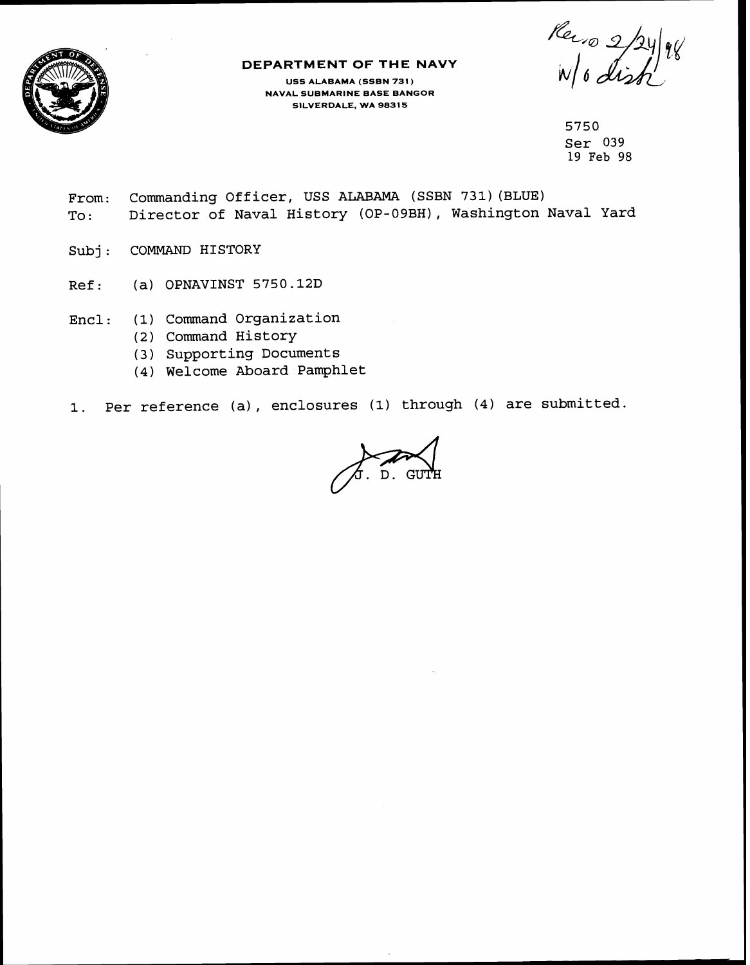

## **DEPARTMENT OF THE NAVY**

**USS ALABAMA (SSBN 731** ) **NAVAL SUBMARINE BASE BANGOR SILVERDALE, WA 98315** 

Recion 2/24/98

**5750 Ser 039 19 Feb 98** 

- **From: Commanding Officer, USS ALABAMA (SSBN 731)(BLUE) To** : **Director of Naval History (OP-09BH), Washington Naval Yard**
- **Sub j** : **COMMAND HISTORY**
- **Ref** : **(a) OPNAVINST 5750.12D**
- **Encl: (1) Command Organization** 
	- **(2) Command History**
	- **(3) Supporting Documents**
	- **(4) Welcome Aboard Pamphlet**
- **1. Per reference (a), enclosures (1) through (4) are submitted.**

 $\sqrt{3}$ . D. GU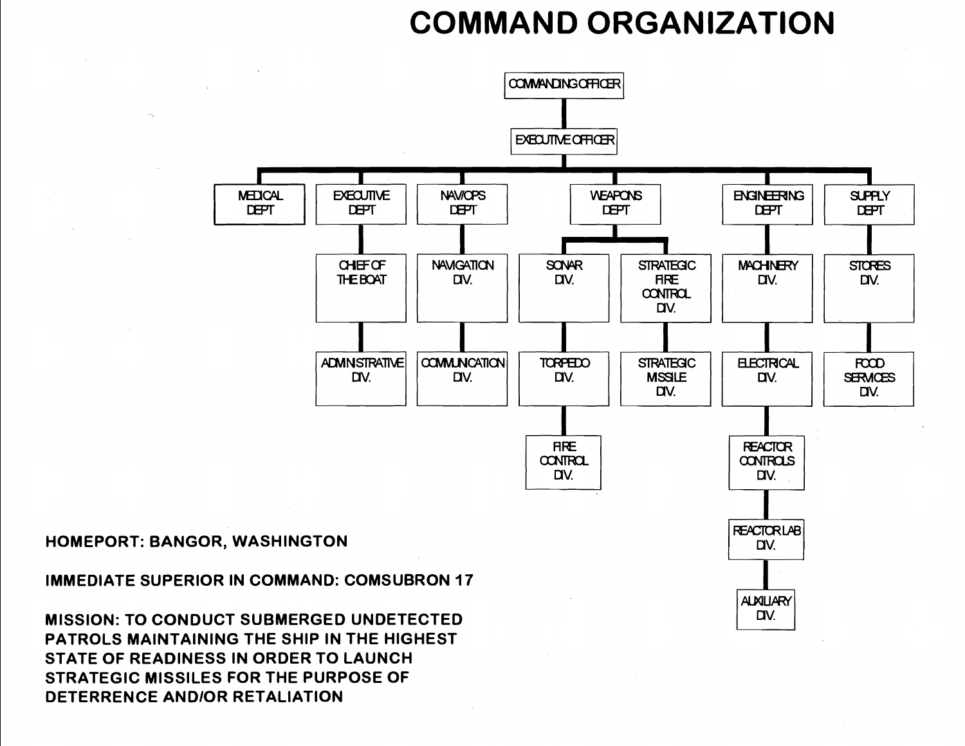## **COMMAND ORGANIZATION**



## **HOMEPORT: BANGOR, WASHINGTON**

**IMMEDIATE SUPERIOR IN COMMAND: COMSUBRON 17** 

**MISSION: TO CONDUCT SUBMERGED UNDETECTED PATROLS MAINTAINING THE SHIP IN THE HIGHEST STATE OF READINESS IN ORDER TO LAUNCH STRATEGIC MISSILES FOR THE PURPOSE OF DETERRENCE AND/OR RETALIATION** 

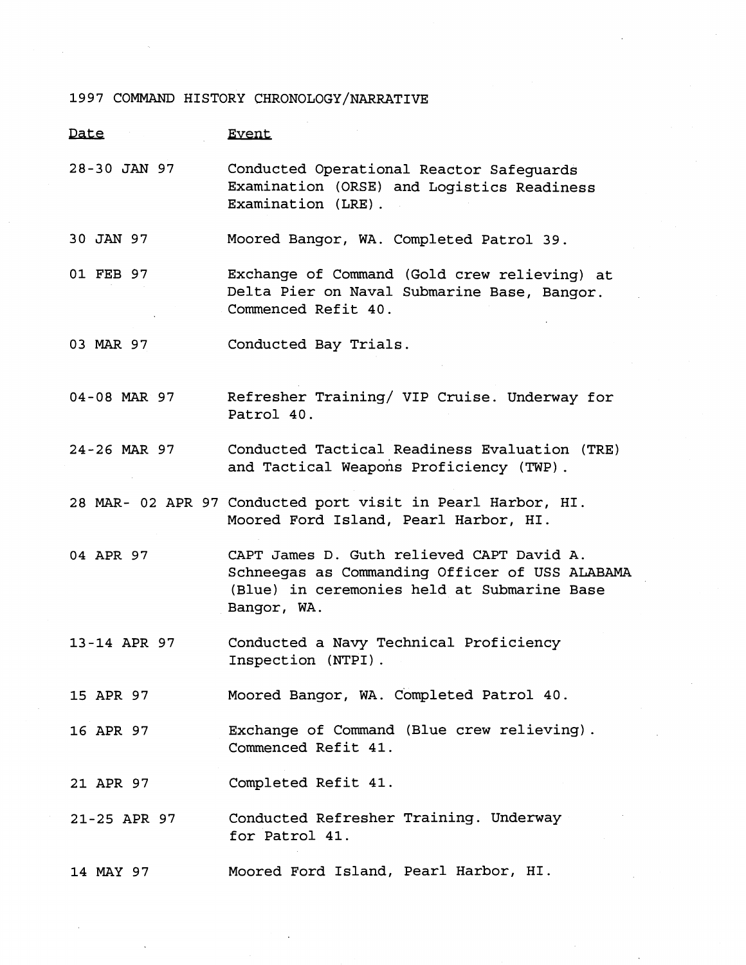## 1997 COMMAND HISTORY CHRONOLOGY/NARRATIVE

| Date         | <b>Event</b>                                                                                                                                              |
|--------------|-----------------------------------------------------------------------------------------------------------------------------------------------------------|
| 28-30 JAN 97 | Conducted Operational Reactor Safeguards<br>Examination (ORSE) and Logistics Readiness<br>Examination (LRE).                                              |
| 30 JAN 97    | Moored Bangor, WA. Completed Patrol 39.                                                                                                                   |
| 01 FEB 97    | Exchange of Command (Gold crew relieving) at<br>Delta Pier on Naval Submarine Base, Bangor.<br>Commenced Refit 40.                                        |
| 03 MAR 97    | Conducted Bay Trials.                                                                                                                                     |
| 04-08 MAR 97 | Refresher Training/ VIP Cruise. Underway for<br>Patrol 40.                                                                                                |
| 24-26 MAR 97 | Conducted Tactical Readiness Evaluation (TRE)<br>and Tactical Weapons Proficiency (TWP).                                                                  |
|              | 28 MAR- 02 APR 97 Conducted port visit in Pearl Harbor, HI.<br>Moored Ford Island, Pearl Harbor, HI.                                                      |
| 04 APR 97    | CAPT James D. Guth relieved CAPT David A.<br>Schneegas as Commanding Officer of USS ALABAMA<br>(Blue) in ceremonies held at Submarine Base<br>Bangor, WA. |
| 13-14 APR 97 | Conducted a Navy Technical Proficiency<br>Inspection (NTPI).                                                                                              |
| 15 APR 97    | Moored Bangor, WA. Completed Patrol 40.                                                                                                                   |
| 16 APR 97    | Exchange of Command (Blue crew relieving).<br>Commenced Refit 41.                                                                                         |
| 21 APR 97    | Completed Refit 41.                                                                                                                                       |
| 21-25 APR 97 | Conducted Refresher Training. Underway<br>for Patrol 41.                                                                                                  |
| 14 MAY 97    | Moored Ford Island, Pearl Harbor, HI.                                                                                                                     |